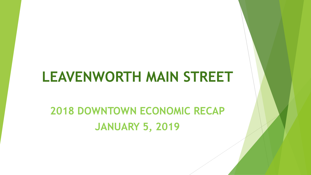# **LEAVENWORTH MAIN STREET**

# **2018 DOWNTOWN ECONOMIC RECAP JANUARY 5, 2019**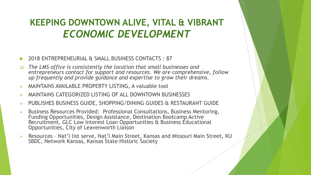## **KEEPING DOWNTOWN ALIVE, VITAL & VIBRANT**  *ECONOMIC DEVELOPMENT*

- 2018 ENTREPRENEURIAL & SMALL BUSINESS CONTACTS : 87
- *The LMS office is consistently the location that small businesses and*  entrepreneurs contact for support and resources. We are comprehensive, follow *up frequently and provide guidance and expertise to grow their dreams.*
- MAINTAINS AVAILABLE PROPERTY LISTING, A valuable tool
- MAINTAINS CATEGORIZED LISTING OF ALL DOWNTOWN BUSINESSES
- PUBLISHES BUSINESS GUIDE, SHOPPING/DINING GUIDES & RESTAURANT GUIDE
- Business Resources Provided: Professional Consultations, Business Mentoring, Funding Opportunities, Design Assistance, Destination Bootcamp Active Recruitment, GLC Low Interest Loan Opportunities & Business Educational Opportunities, City of Leavenworth Liaison
- Resources Nat'l list serve, Nat'l Main Street, Kansas and Missouri Main Street, KU SBDC, Network Kansas, Kansas State Historic Society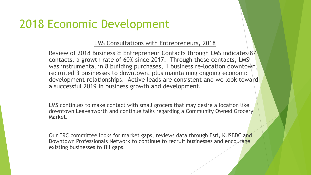## 2018 Economic Development

### LMS Consultations with Entrepreneurs, 2018

Review of 2018 Business & Entrepreneur Contacts through LMS indicates 87 contacts, a growth rate of 60% since 2017. Through these contacts, LMS was instrumental in 8 building purchases, 1 business re-location downtown, recruited 3 businesses to downtown, plus maintaining ongoing economic development relationships. Active leads are consistent and we look toward a successful 2019 in business growth and development.

LMS continues to make contact with small grocers that may desire a location like downtown Leavenworth and continue talks regarding a Community Owned Grocery Market.

Our ERC committee looks for market gaps, reviews data through Esri, KUSBDC and Downtown Professionals Network to continue to recruit businesses and encourage existing businesses to fill gaps.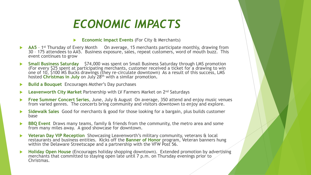# *ECONOMIC IMPACTS*

#### **Economic Impact Events** (For City & Merchants)

- **AA5** 1<sup>st</sup> Thursday of Every Month On average, 15 merchants participate monthly, drawing from 30 – 175 attendees to AA5. Business exposure, sales, repeat customers, word of mouth buzz. This event continues to grow
- **Small Business Saturday** \$74,000 was spent on Small Business Saturday through LMS promotion (For every \$25 spent at participating merchants, customer received a ticket for a drawing to win one of 10, \$100 MS Bucks drawings (they re-circulate downtown) As a result of this success, LMS hosted **Christmas in July** on July 28th with a similar promotion.
- **Build a Bouquet** Encourages Mother's Day purchases
- **Leavenworth City Market** Partnership with LV Farmers Market on 2nd Saturdays
- **Free Summer Concert Series**, June, July & August On average, 350 attend and enjoy music venues from varied genres. The concerts bring community and visitors downtown to enjoy and explore.
- **Sidewalk Sales** Good for merchants & good for those looking for a bargain, plus builds customer base
- **BBQ Event** Draws many teams, family & friends from the community, the metro area and some from many miles away. A good showcase for downtown.
- **Veteran Day VIP Reception** Showcasing Leavenworth's military community, veterans & local restaurants and business entities. Kicks off the **Banner of Honor** program, Veteran banners hung within the Delaware Streetscape and a partnership with the VFW Post 56.
- **Holiday Open House** (Encourages holiday shopping downtown). Extended promotion by advertising merchants that committed to staying open late until 7 p.m. on Thursday evenings prior to Christmas.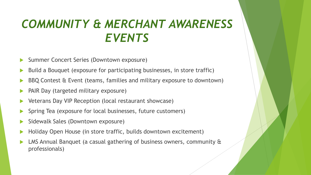# *COMMUNITY & MERCHANT AWARENESS EVENTS*

- Summer Concert Series (Downtown exposure)
- Build a Bouquet (exposure for participating businesses, in store traffic)
- BBQ Contest & Event (teams, families and military exposure to downtown)
- PAIR Day (targeted military exposure)
- Veterans Day VIP Reception (local restaurant showcase)
- Spring Tea (exposure for local businesses, future customers)
- Sidewalk Sales (Downtown exposure)
- Holiday Open House (in store traffic, builds downtown excitement)
- LMS Annual Banquet (a casual gathering of business owners, community & professionals)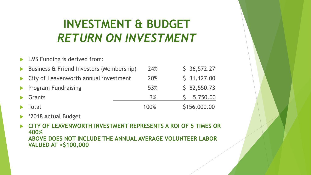# **INVESTMENT & BUDGET**  *RETURN ON INVESTMENT*

- LMS Funding is derived from: Business & Friend Investors (Membership) 24% \$ 36,572.27 City of Leavenworth annual investment 20% \$ 31,127.00 Program Fundraising 53% \$ 82,550.73 Grants 3% 5,750.00
- Total 100% \$156,000.00
- \*2018 Actual Budget
- **CITY OF LEAVENWORTH INVESTMENT REPRESENTS A ROI OF 5 TIMES OR 400% ABOVE DOES NOT INCLUDE THE ANNUAL AVERAGE VOLUNTEER LABOR VALUED AT >\$100,000**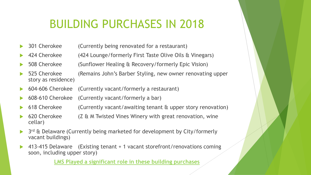# BUILDING PURCHASES IN 2018

- 301 Cherokee (Currently being renovated for a restaurant)
- 424 Cherokee (424 Lounge/formerly First Taste Olive Oils & Vinegars)
- 508 Cherokee (Sunflower Healing & Recovery/formerly Epic Vision)
	- 525 Cherokee (Remains John's Barber Styling, new owner renovating upper story as residence)
- 604-606 Cherokee (Currently vacant/formerly a restaurant)
- 608-610 Cherokee (Currently vacant/formerly a bar)
- 618 Cherokee (Currently vacant/awaiting tenant & upper story renovation)
- 620 Cherokee (Z & M Twisted Vines Winery with great renovation, wine cellar)
- ▶ 3<sup>rd</sup> & Delaware (Currently being marketed for development by City/formerly vacant buildings)
- 413-415 Delaware (Existing tenant + 1 vacant storefront/renovations coming soon, including upper story)

**LMS Played a significant role in these building purchases**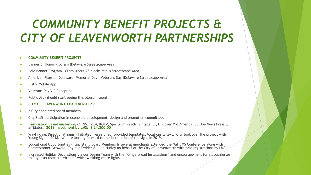# *COMMUNITY BENEFIT PROJECTS & CITY OF LEAVENWORTH PARTNERSHIPS*

#### **COMMUNITY BENEFIT PROJECTS:**

- Banner of Honor Program (Delaware Streetscape Area)
- Pole Banner Program (Throughout 28 blocks minus Streetscape Area)
- American Flags on Delaware, Memorial Day Veterans Day (Delaware Streetscape Area)
- Distrx Mobile App
- Veterans Day VIP Reception
- Public Art (Should start seeing this blossom soon)
- **CITY OF LEAVENWORTH PARTNERSHIPS:**
- 2 City appointed board members
- City Staff participation in economic development, design and promotion committees
- **Destination Based Marketing** KCTV5, Fox4, KQTV, Spectrum Reach, Vintage KC, Discover Mid America, St. Joe News Press & affiliates. **2018 Investment by LMS: \$ 24,200.00**
- Wayfinding/Directional Signs Initiated, researched, provided templates, locations & text. City took over the project with Young Sign in 2018. We are looking forward to the installation of the signs in 2019.
- Educational Opportunities LMS staff, Board Members & several merchants attended the Nat'l MS Conference along with Commissioner Griswold, Taylour Tedder & Julie Hurley on behalf of the City of Leavenworth with paid registrations by LMS.
- **Increased Holiday Decorations via our Design Team with the "Gingerbread Installations" and encouragement for all businesses** to "light up their storefronts" with twinkling white lights.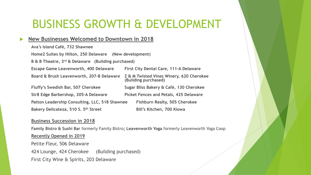## BUSINESS GROWTH & DEVELOPMENT

### **New Businesses Welcomed to Downtown in 2018**

| Ava's Island Café, 732 Shawnee                                 |                                                                  |
|----------------------------------------------------------------|------------------------------------------------------------------|
| Home2 Suites by Hilton, 250 Delaware (New development)         |                                                                  |
| B & B Theatre, 3 <sup>rd</sup> & Delaware (Building purchased) |                                                                  |
| <b>Escape Game Leavenworth, 400 Delaware</b>                   | First City Dental Care, 111-A Delaware                           |
| Board & Brush Leavenworth, 207-B Delaware                      | Z & M Twisted Vines Winery, 620 Cherokee<br>(Building purchased) |
| Fluffy's Swedish Bar, 507 Cherokee                             | Sugar Bliss Bakery & Café, 130 Cherokee                          |
| Str8 Edge Barbershop, 205-A Delaware                           | Picket Fences and Petals, 425 Delaware                           |
| Patton Leadership Consulting, LLC, 518 Shawnee                 | <b>Fishburn Realty, 505 Cherokee</b>                             |
| Bakery Delicateza, 510 S. 5th Street                           | Bill's Kitchen, 700 Kiowa                                        |

#### **Business Succession in 2018**

**Family Bistro & Sushi Bar** formerly Family Bistro**; Leavenworth Yoga** formerly Leavenworth Yoga Coop **Recently Opened in 2019** Petite Fleur, 506 Delaware 424 Lounge, 424 Cherokee (Building purchased) First City Wine & Spirits, 203 Delaware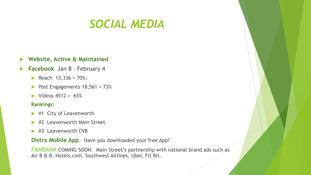## *SOCIAL MEDIA*

### **Website, Active & Maintained**

- **Facebook** Jan 8 February 4
	- Reach  $13,336 = 70\%;$
	- Post Engagements  $18,561 = 73\%$
	- $\blacktriangleright$  Videos 4512 = 63%

#### **Rankings:**

- ▶ #1 City of Leavenworth
- #2 Leavenworth Main Street
- $\blacktriangleright$  #3 Leavenworth CVB

**Distrx Mobile App** – Have you downloaded your free App?

**FANBANK** COMING SOON. Main Street's partnership with national brand ads such as Air B & B, Hotels.com, Southwest Airlines, Uber, Fit Bit.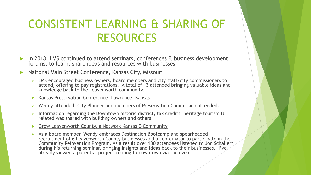## CONSISTENT LEARNING & SHARING OF RESOURCES

In 2018, LMS continued to attend seminars, conferences & business development forums, to learn, share ideas and resources with businesses.

### National Main Street Conference, Kansas City, Missouri

- $\triangleright$  LMS encouraged business owners, board members and city staff/city commissioners to attend, offering to pay registrations. A total of 13 attended bringing valuable ideas and knowledge back to the Leavenworth community.
- Kansas Preservation Conference, Lawrence, Kansas
- $\triangleright$  Wendy attended. City Planner and members of Preservation Commission attended.
- Information regarding the Downtown historic district, tax credits, heritage tourism & related was shared with building owners and others.
- Grow Leavenworth County, a Network Kansas E-Community
- $\triangleright$  As a board member, Wendy embraces Destination Bootcamp and spearheaded recruitment of 6 Leavenworth County businesses and a coordinator to participate in the Community Reinvention Program. As a result over 100 attendees listened to Jon Schallert during his returning seminar, bringing insights and ideas back to their businesses. I've already viewed a potential project coming to downtown via the event!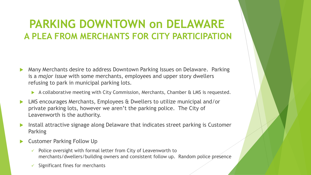## **PARKING DOWNTOWN on DELAWARE A PLEA FROM MERCHANTS FOR CITY PARTICIPATION**

- Many Merchants desire to address Downtown Parking Issues on Delaware. Parking is a *major issue* with some merchants, employees and upper story dwellers refusing to park in municipal parking lots.
	- A collaborative meeting with City Commission, Merchants, Chamber & LMS is requested.
- LMS encourages Merchants, Employees & Dwellers to utilize municipal and/or private parking lots, however we aren't the parking police. The City of Leavenworth is the authority.
- Install attractive signage along Delaware that indicates street parking is Customer Parking
- Customer Parking Follow Up
	- $\checkmark$  Police oversight with formal letter from City of Leavenworth to merchants/dwellers/building owners and consistent follow up. Random police presence
	- Significant fines for merchants